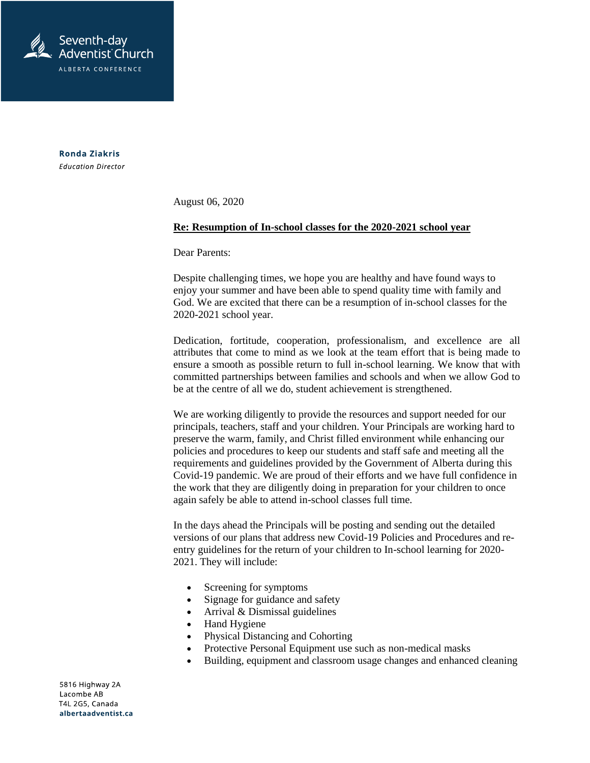

**Ronda Ziakris Education Director** 

August 06, 2020

## **Re: Resumption of In-school classes for the 2020-2021 school year**

Dear Parents:

Despite challenging times, we hope you are healthy and have found ways to enjoy your summer and have been able to spend quality time with family and God. We are excited that there can be a resumption of in-school classes for the 2020-2021 school year.

Dedication, fortitude, cooperation, professionalism, and excellence are all attributes that come to mind as we look at the team effort that is being made to ensure a smooth as possible return to full in-school learning. We know that with committed partnerships between families and schools and when we allow God to be at the centre of all we do, student achievement is strengthened.

We are working diligently to provide the resources and support needed for our principals, teachers, staff and your children. Your Principals are working hard to preserve the warm, family, and Christ filled environment while enhancing our policies and procedures to keep our students and staff safe and meeting all the requirements and guidelines provided by the Government of Alberta during this Covid-19 pandemic. We are proud of their efforts and we have full confidence in the work that they are diligently doing in preparation for your children to once again safely be able to attend in-school classes full time.

In the days ahead the Principals will be posting and sending out the detailed versions of our plans that address new Covid-19 Policies and Procedures and reentry guidelines for the return of your children to In-school learning for 2020- 2021. They will include:

- Screening for symptoms
- Signage for guidance and safety
- Arrival & Dismissal guidelines
- Hand Hygiene
- Physical Distancing and Cohorting
- Protective Personal Equipment use such as non-medical masks
- Building, equipment and classroom usage changes and enhanced cleaning

5816 Highway 2A Lacombe AB T4L 2G5, Canada albertaadventist.ca